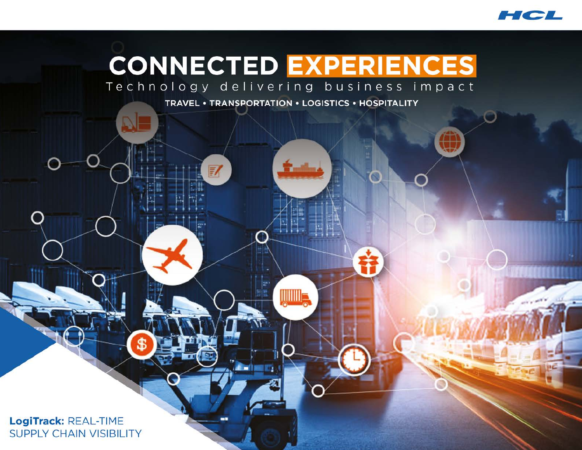

# **CONNECTED EXPERIENCES**

Technology delivering business impact

TRAVEL • TRANSPORTATION • LOGISTICS • HOSPITALITY

<u> IIIIIIIII</u>

**Z** 

LogiTrack: REAL-TIME **SUPPLY CHAIN VISIBILITY** 

SB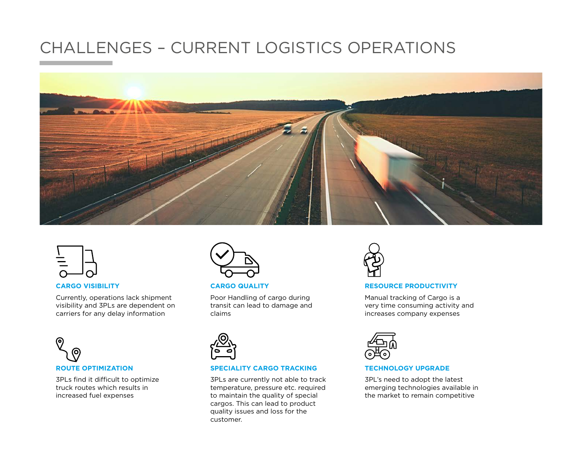# CHALLENGES – CURRENT LOGISTICS OPERATIONS





#### **CARGO VISIBILITY**

Currently, operations lack shipment visibility and 3PLs are dependent on carriers for any delay information



3PLs find it difficult to optimize truck routes which results in increased fuel expenses



**CARGO QUALITY**

Poor Handling of cargo during transit can lead to damage and claims



#### **SPECIALITY CARGO TRACKING**

3PLs are currently not able to track temperature, pressure etc. required to maintain the quality of special cargos. This can lead to product quality issues and loss for the customer.



#### **RESOURCE PRODUCTIVITY**

Manual tracking of Cargo is a very time consuming activity and increases company expenses



#### **TECHNOLOGY UPGRADE**

3PL's need to adopt the latest emerging technologies available in the market to remain competitive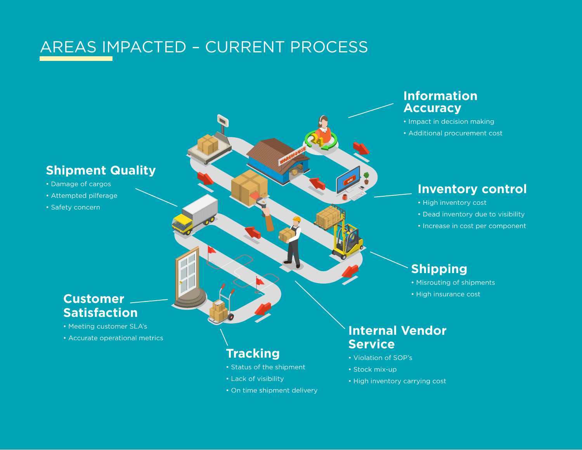# AREAS IMPACTED – CURRENT PROCESS

## **Shipment Quality**

- Damage of cargos
- Attempted pilferage
- Safety concern

#### **Customer Satisfaction**

- Meeting customer SLA's
- Accurate operational metrics

## **Tracking**

- Status of the shipment
- Lack of visibility
- On time shipment delivery

## **Information Accuracy**

- Impact in decision making
- Additional procurement cost

## **Inventory control**

- High inventory cost
- Dead inventory due to visibility
- Increase in cost per component

## **Shipping**

- Misrouting of shipments
- High insurance cost

## **Internal Vendor Service**

- Violation of SOP's
- Stock mix-up
- High inventory carrying cost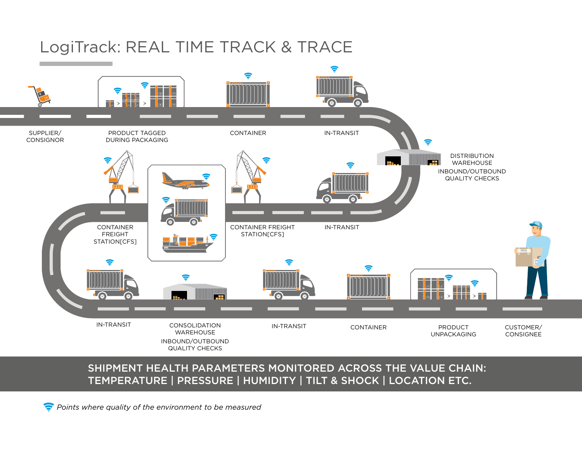# LogiTrack: REAL TIME TRACK & TRACE



#### SHIPMENT HEALTH PARAMETERS MONITORED ACROSS THE VALUE CHAIN: TEMPERATURE | PRESSURE | HUMIDITY | TILT & SHOCK | LOCATION ETC.

*Points where quality of the environment to be measured*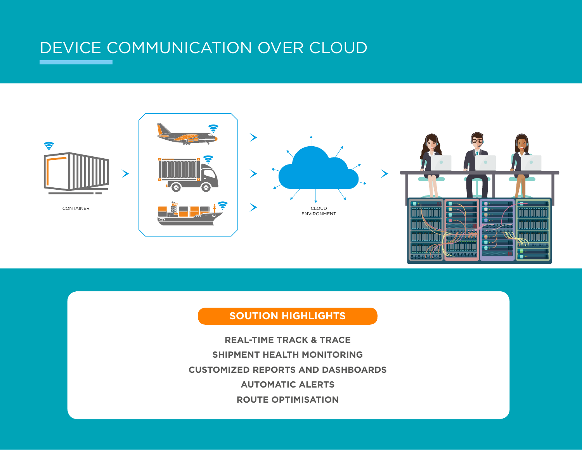# DEVICE COMMUNICATION OVER CLOUD



**COLE ELE** 

 $\blacksquare$ 

<u>n n n h y h n</u>

#### **SOUTION HIGHLIGHTS**

**REAL-TIME TRACK & TRACE SHIPMENT HEALTH MONITORING CUSTOMIZED REPORTS AND DASHBOARDS AUTOMATIC ALERTS ROUTE OPTIMISATION**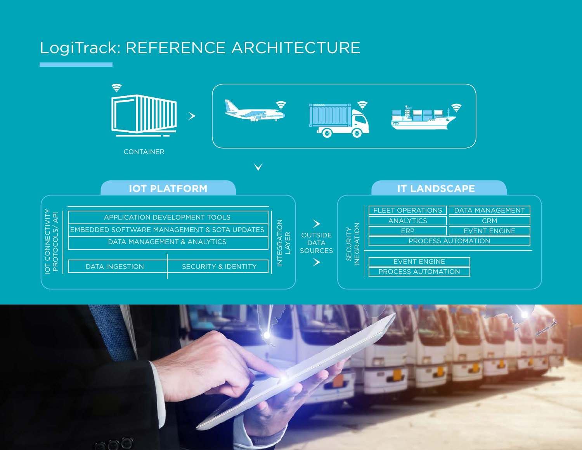# LogiTrack: REFERENCE ARCHITECTURE



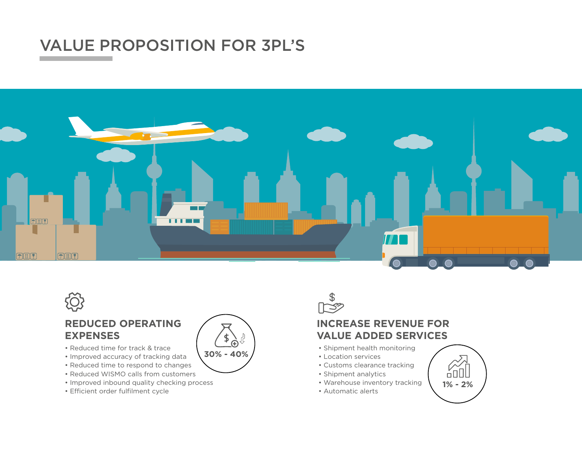# VALUE PROPOSITION FOR 3PL'S





#### **REDUCED OPERATING EXPENSES**

- Reduced time for track & trace
- Improved accuracy of tracking data
- Reduced time to respond to changes
- Reduced WISMO calls from customers
- Improved inbound quality checking process
- Efficient order fulfilment cycle





#### **INCREASE REVENUE FOR VALUE ADDED SERVICES**

- Shipment health monitoring
- Location services
- Customs clearance tracking
- Shipment analytics
- Warehouse inventory tracking
- Automatic alerts

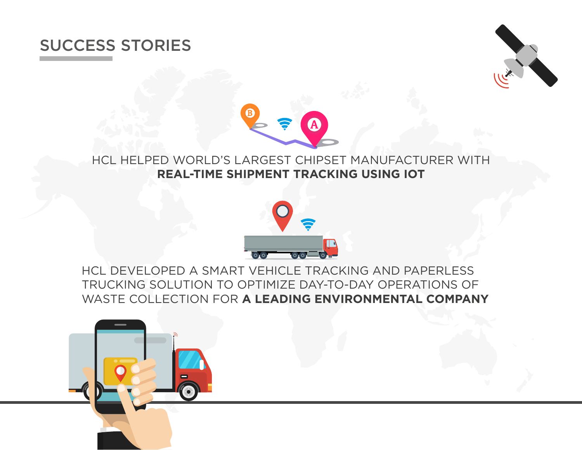# SUCCESS STORIES





## HCL HELPED WORLD'S LARGEST CHIPSET MANUFACTURER WITH **REAL-TIME SHIPMENT TRACKING USING IOT**



HCL DEVELOPED A SMART VEHICLE TRACKING AND PAPERLESS TRUCKING SOLUTION TO OPTIMIZE DAY-TO-DAY OPERATIONS OF WASTE COLLECTION FOR **A LEADING ENVIRONMENTAL COMPANY**